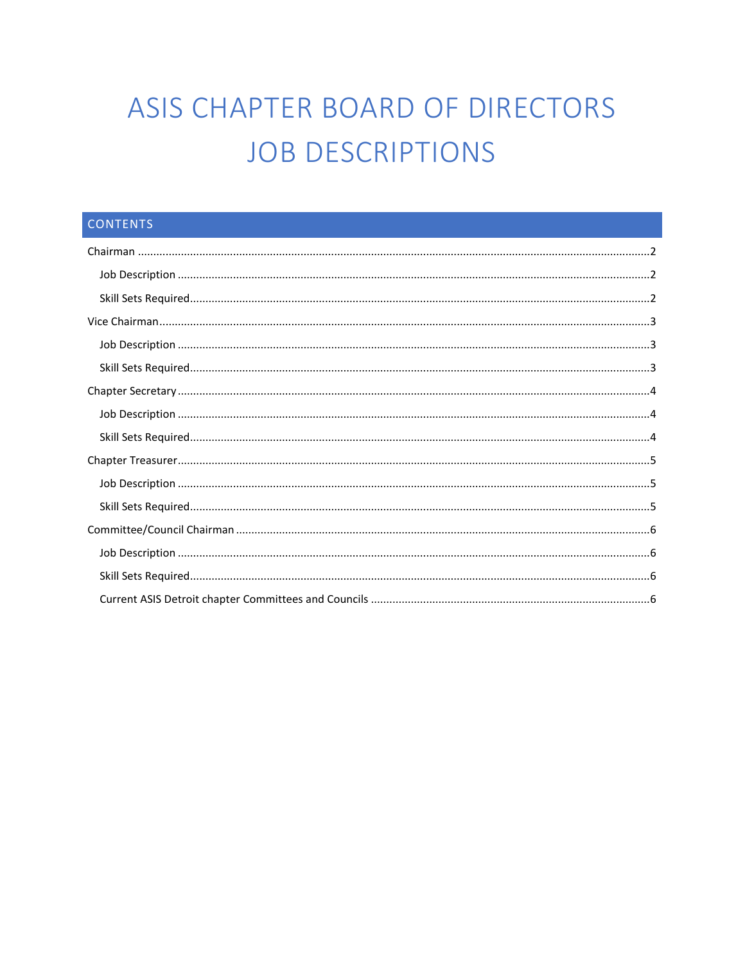# ASIS CHAPTER BOARD OF DIRECTORS **JOB DESCRIPTIONS**

| <b>CONTENTS</b> |  |
|-----------------|--|
|                 |  |
|                 |  |
|                 |  |
|                 |  |
|                 |  |
|                 |  |
|                 |  |
|                 |  |
|                 |  |
|                 |  |
|                 |  |
|                 |  |
|                 |  |
|                 |  |
|                 |  |
|                 |  |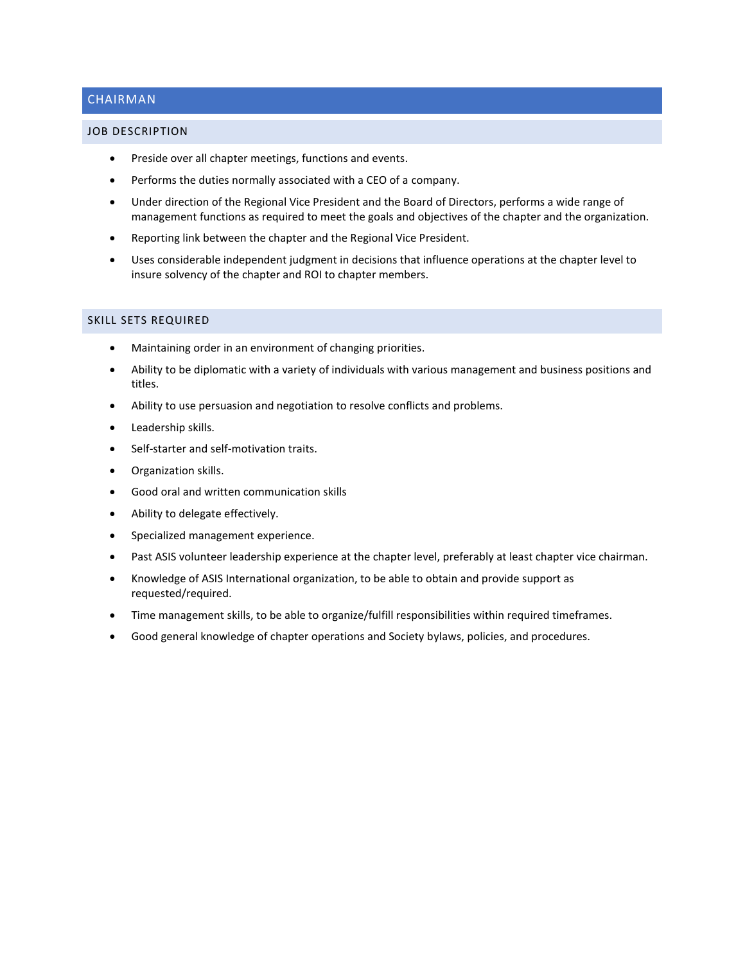# <span id="page-1-0"></span>CHAIRMAN

## <span id="page-1-1"></span>JOB DESCRIPTION

- Preside over all chapter meetings, functions and events.
- Performs the duties normally associated with a CEO of a company.
- Under direction of the Regional Vice President and the Board of Directors, performs a wide range of management functions as required to meet the goals and objectives of the chapter and the organization.
- Reporting link between the chapter and the Regional Vice President.
- Uses considerable independent judgment in decisions that influence operations at the chapter level to insure solvency of the chapter and ROI to chapter members.

- <span id="page-1-2"></span>• Maintaining order in an environment of changing priorities.
- Ability to be diplomatic with a variety of individuals with various management and business positions and titles.
- Ability to use persuasion and negotiation to resolve conflicts and problems.
- Leadership skills.
- Self-starter and self-motivation traits.
- Organization skills.
- Good oral and written communication skills
- Ability to delegate effectively.
- Specialized management experience.
- Past ASIS volunteer leadership experience at the chapter level, preferably at least chapter vice chairman.
- Knowledge of ASIS International organization, to be able to obtain and provide support as requested/required.
- Time management skills, to be able to organize/fulfill responsibilities within required timeframes.
- Good general knowledge of chapter operations and Society bylaws, policies, and procedures.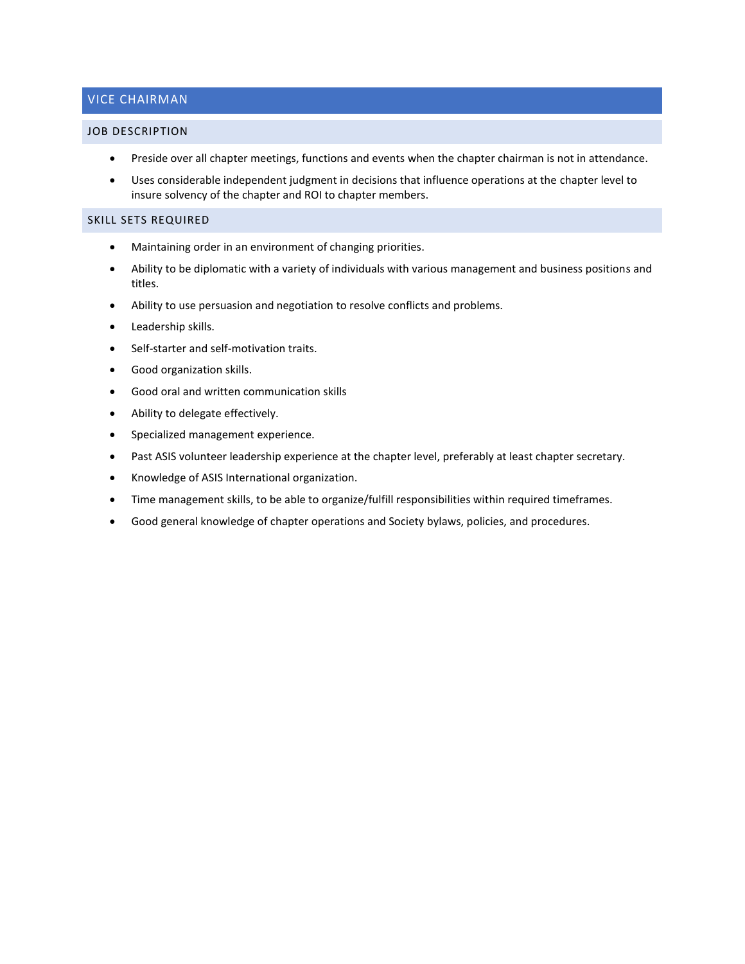# <span id="page-2-0"></span>VICE CHAIRMAN

#### <span id="page-2-1"></span>JOB DESCRIPTION

- Preside over all chapter meetings, functions and events when the chapter chairman is not in attendance.
- <span id="page-2-2"></span>• Uses considerable independent judgment in decisions that influence operations at the chapter level to insure solvency of the chapter and ROI to chapter members.

- Maintaining order in an environment of changing priorities.
- Ability to be diplomatic with a variety of individuals with various management and business positions and titles.
- Ability to use persuasion and negotiation to resolve conflicts and problems.
- Leadership skills.
- Self-starter and self-motivation traits.
- Good organization skills.
- Good oral and written communication skills
- Ability to delegate effectively.
- Specialized management experience.
- Past ASIS volunteer leadership experience at the chapter level, preferably at least chapter secretary.
- Knowledge of ASIS International organization.
- Time management skills, to be able to organize/fulfill responsibilities within required timeframes.
- Good general knowledge of chapter operations and Society bylaws, policies, and procedures.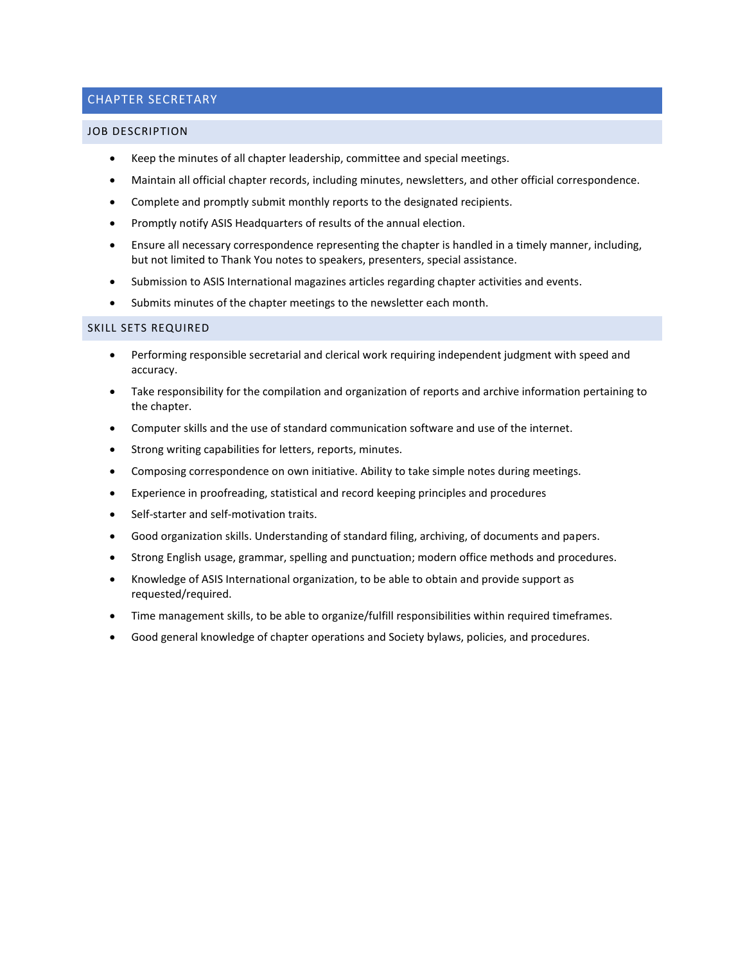# <span id="page-3-0"></span>CHAPTER SECRETARY

#### <span id="page-3-1"></span>JOB DESCRIPTION

- Keep the minutes of all chapter leadership, committee and special meetings.
- Maintain all official chapter records, including minutes, newsletters, and other official correspondence.
- Complete and promptly submit monthly reports to the designated recipients.
- Promptly notify ASIS Headquarters of results of the annual election.
- Ensure all necessary correspondence representing the chapter is handled in a timely manner, including, but not limited to Thank You notes to speakers, presenters, special assistance.
- Submission to ASIS International magazines articles regarding chapter activities and events.
- <span id="page-3-2"></span>• Submits minutes of the chapter meetings to the newsletter each month.

- Performing responsible secretarial and clerical work requiring independent judgment with speed and accuracy.
- Take responsibility for the compilation and organization of reports and archive information pertaining to the chapter.
- Computer skills and the use of standard communication software and use of the internet.
- Strong writing capabilities for letters, reports, minutes.
- Composing correspondence on own initiative. Ability to take simple notes during meetings.
- Experience in proofreading, statistical and record keeping principles and procedures
- Self-starter and self-motivation traits.
- Good organization skills. Understanding of standard filing, archiving, of documents and papers.
- Strong English usage, grammar, spelling and punctuation; modern office methods and procedures.
- Knowledge of ASIS International organization, to be able to obtain and provide support as requested/required.
- Time management skills, to be able to organize/fulfill responsibilities within required timeframes.
- Good general knowledge of chapter operations and Society bylaws, policies, and procedures.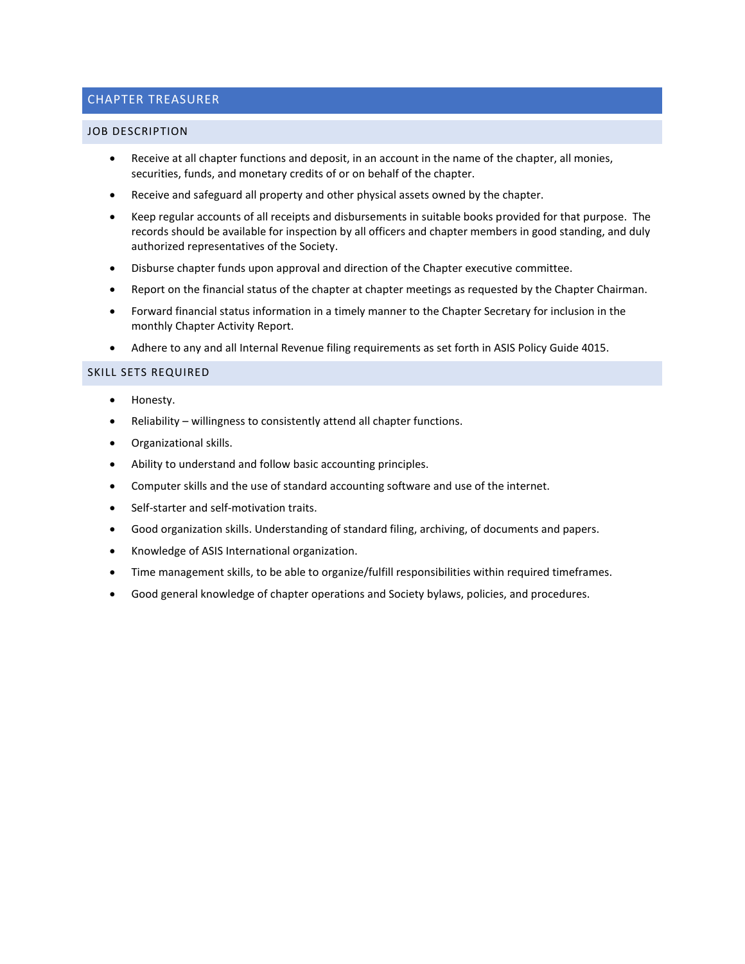# <span id="page-4-0"></span>CHAPTER TREASURER

#### <span id="page-4-1"></span>JOB DESCRIPTION

- Receive at all chapter functions and deposit, in an account in the name of the chapter, all monies, securities, funds, and monetary credits of or on behalf of the chapter.
- Receive and safeguard all property and other physical assets owned by the chapter.
- Keep regular accounts of all receipts and disbursements in suitable books provided for that purpose. The records should be available for inspection by all officers and chapter members in good standing, and duly authorized representatives of the Society.
- Disburse chapter funds upon approval and direction of the Chapter executive committee.
- Report on the financial status of the chapter at chapter meetings as requested by the Chapter Chairman.
- Forward financial status information in a timely manner to the Chapter Secretary for inclusion in the monthly Chapter Activity Report.
- <span id="page-4-2"></span>• Adhere to any and all Internal Revenue filing requirements as set forth in ASIS Policy Guide 4015.

- Honesty.
- Reliability willingness to consistently attend all chapter functions.
- Organizational skills.
- Ability to understand and follow basic accounting principles.
- Computer skills and the use of standard accounting software and use of the internet.
- Self-starter and self-motivation traits.
- Good organization skills. Understanding of standard filing, archiving, of documents and papers.
- Knowledge of ASIS International organization.
- Time management skills, to be able to organize/fulfill responsibilities within required timeframes.
- Good general knowledge of chapter operations and Society bylaws, policies, and procedures.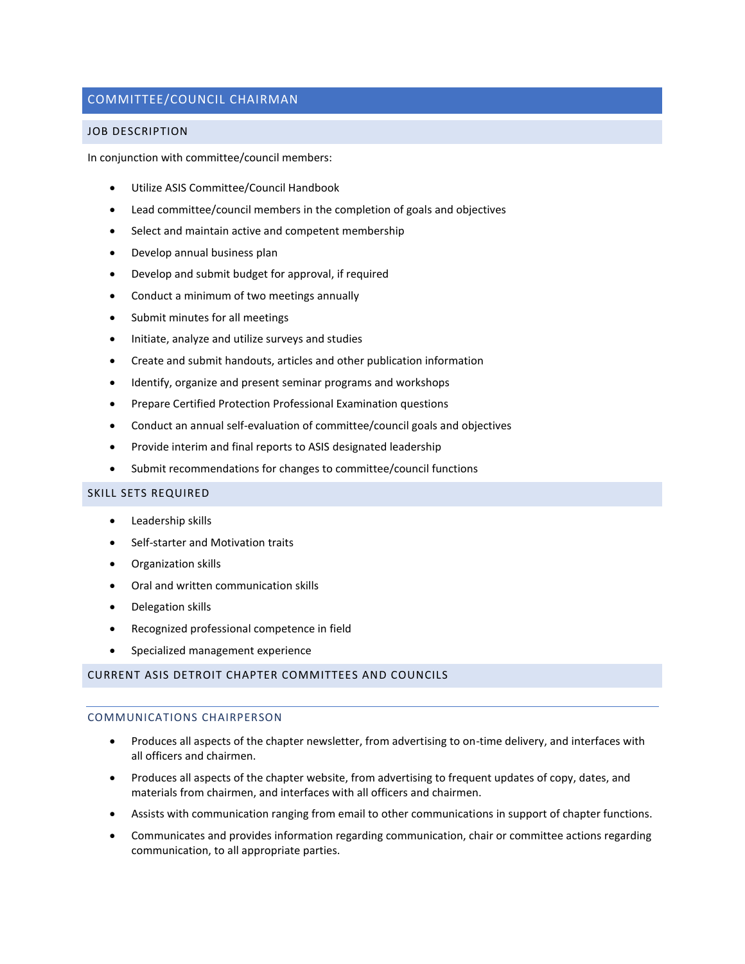# <span id="page-5-0"></span>COMMITTEE/COUNCIL CHAIRMAN

## <span id="page-5-1"></span>JOB DESCRIPTION

In conjunction with committee/council members:

- Utilize ASIS Committee/Council Handbook
- Lead committee/council members in the completion of goals and objectives
- Select and maintain active and competent membership
- Develop annual business plan
- Develop and submit budget for approval, if required
- Conduct a minimum of two meetings annually
- Submit minutes for all meetings
- Initiate, analyze and utilize surveys and studies
- Create and submit handouts, articles and other publication information
- Identify, organize and present seminar programs and workshops
- Prepare Certified Protection Professional Examination questions
- Conduct an annual self-evaluation of committee/council goals and objectives
- Provide interim and final reports to ASIS designated leadership
- Submit recommendations for changes to committee/council functions

## <span id="page-5-2"></span>SKILL SETS REQUIRED

- Leadership skills
- Self-starter and Motivation traits
- Organization skills
- Oral and written communication skills
- Delegation skills
- Recognized professional competence in field
- Specialized management experience

# <span id="page-5-3"></span>CURRENT ASIS DETROIT CHAPTER COMMITTEES AND COUNCILS

# COMMUNICATIONS CHAIRPERSON

- Produces all aspects of the chapter newsletter, from advertising to on-time delivery, and interfaces with all officers and chairmen.
- Produces all aspects of the chapter website, from advertising to frequent updates of copy, dates, and materials from chairmen, and interfaces with all officers and chairmen.
- Assists with communication ranging from email to other communications in support of chapter functions.
- Communicates and provides information regarding communication, chair or committee actions regarding communication, to all appropriate parties.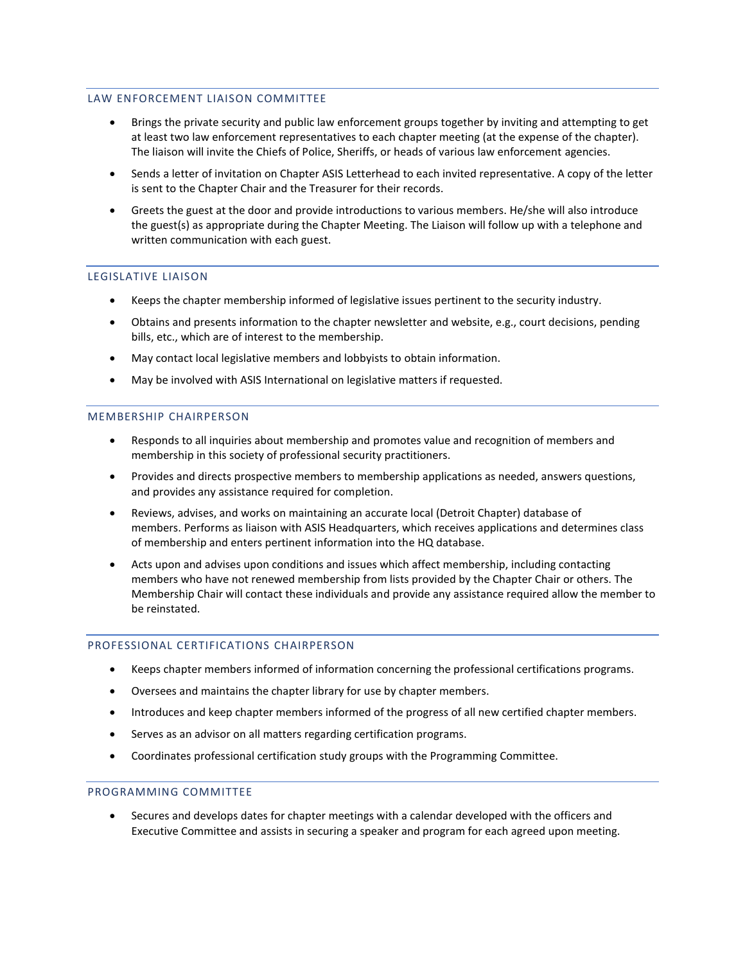## LAW ENFORCEMENT LIAISON COMMITTEE

- Brings the private security and public law enforcement groups together by inviting and attempting to get at least two law enforcement representatives to each chapter meeting (at the expense of the chapter). The liaison will invite the Chiefs of Police, Sheriffs, or heads of various law enforcement agencies.
- Sends a letter of invitation on Chapter ASIS Letterhead to each invited representative. A copy of the letter is sent to the Chapter Chair and the Treasurer for their records.
- Greets the guest at the door and provide introductions to various members. He/she will also introduce the guest(s) as appropriate during the Chapter Meeting. The Liaison will follow up with a telephone and written communication with each guest.

# LEGISLATIVE LIAISON

- Keeps the chapter membership informed of legislative issues pertinent to the security industry.
- Obtains and presents information to the chapter newsletter and website, e.g., court decisions, pending bills, etc., which are of interest to the membership.
- May contact local legislative members and lobbyists to obtain information.
- May be involved with ASIS International on legislative matters if requested.

# MEMBERSHIP CHAIRPERSON

- Responds to all inquiries about membership and promotes value and recognition of members and membership in this society of professional security practitioners.
- Provides and directs prospective members to membership applications as needed, answers questions, and provides any assistance required for completion.
- Reviews, advises, and works on maintaining an accurate local (Detroit Chapter) database of members. Performs as liaison with ASIS Headquarters, which receives applications and determines class of membership and enters pertinent information into the HQ database.
- Acts upon and advises upon conditions and issues which affect membership, including contacting members who have not renewed membership from lists provided by the Chapter Chair or others. The Membership Chair will contact these individuals and provide any assistance required allow the member to be reinstated.

## PROFESSIONAL CERTIFICATIONS CHAIRPERSON

- Keeps chapter members informed of information concerning the professional certifications programs.
- Oversees and maintains the chapter library for use by chapter members.
- Introduces and keep chapter members informed of the progress of all new certified chapter members.
- Serves as an advisor on all matters regarding certification programs.
- Coordinates professional certification study groups with the Programming Committee.

# PROGRAMMING COMMITTEE

• Secures and develops dates for chapter meetings with a calendar developed with the officers and Executive Committee and assists in securing a speaker and program for each agreed upon meeting.